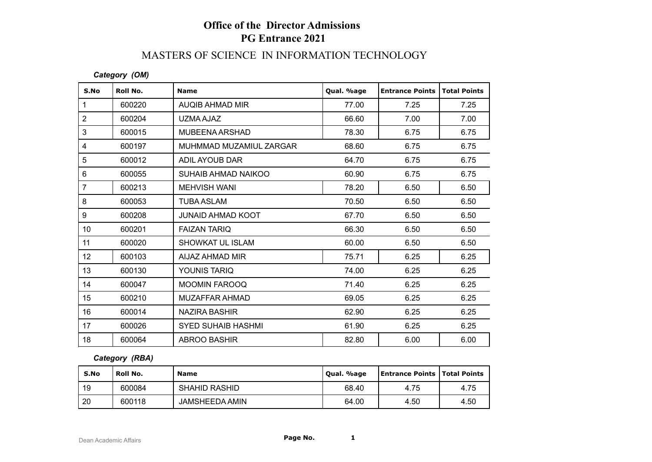# **Office of the Director Admissions PG Entrance 2021**

### MASTERS OF SCIENCE IN INFORMATION TECHNOLOGY

#### *Category (OM)*

| S.No           | Roll No. | <b>Name</b>               | Qual. %age | <b>Entrance Points</b> | <b>Total Points</b> |
|----------------|----------|---------------------------|------------|------------------------|---------------------|
| $\mathbf{1}$   | 600220   | AUQIB AHMAD MIR           | 77.00      | 7.25                   | 7.25                |
| $\overline{2}$ | 600204   | UZMA AJAZ                 | 66.60      | 7.00                   | 7.00                |
| $\mathfrak{S}$ | 600015   | MUBEENA ARSHAD            | 78.30      | 6.75                   | 6.75                |
| 4              | 600197   | MUHMMAD MUZAMIUL ZARGAR   | 68.60      | 6.75                   | 6.75                |
| 5              | 600012   | ADIL AYOUB DAR            | 64.70      | 6.75                   | 6.75                |
| 6              | 600055   | SUHAIB AHMAD NAIKOO       | 60.90      | 6.75                   | 6.75                |
| $\overline{7}$ | 600213   | <b>MEHVISH WANI</b>       | 78.20      | 6.50                   | 6.50                |
| 8              | 600053   | <b>TUBA ASLAM</b>         | 70.50      | 6.50                   | 6.50                |
| 9              | 600208   | <b>JUNAID AHMAD KOOT</b>  | 67.70      | 6.50                   | 6.50                |
| 10             | 600201   | <b>FAIZAN TARIQ</b>       | 66.30      | 6.50                   | 6.50                |
| 11             | 600020   | <b>SHOWKAT UL ISLAM</b>   | 60.00      | 6.50                   | 6.50                |
| 12             | 600103   | AIJAZ AHMAD MIR           | 75.71      | 6.25                   | 6.25                |
| 13             | 600130   | YOUNIS TARIQ              | 74.00      | 6.25                   | 6.25                |
| 14             | 600047   | <b>MOOMIN FAROOQ</b>      | 71.40      | 6.25                   | 6.25                |
| 15             | 600210   | MUZAFFAR AHMAD            | 69.05      | 6.25                   | 6.25                |
| 16             | 600014   | NAZIRA BASHIR             | 62.90      | 6.25                   | 6.25                |
| 17             | 600026   | <b>SYED SUHAIB HASHMI</b> | 61.90      | 6.25                   | 6.25                |
| 18             | 600064   | <b>ABROO BASHIR</b>       | 82.80      | 6.00                   | 6.00                |

*Category (RBA)*

| S.No | ' Roll No. | <b>Name</b>           | Qual. %age | <b>Entrance Points   Total Points</b> |      |
|------|------------|-----------------------|------------|---------------------------------------|------|
| 19   | 600084     | <b>SHAHID RASHID</b>  | 68.40      | 4.75                                  | 4.75 |
| 20   | 600118     | <b>JAMSHEEDA AMIN</b> | 64.00      | 4.50                                  | 4.50 |